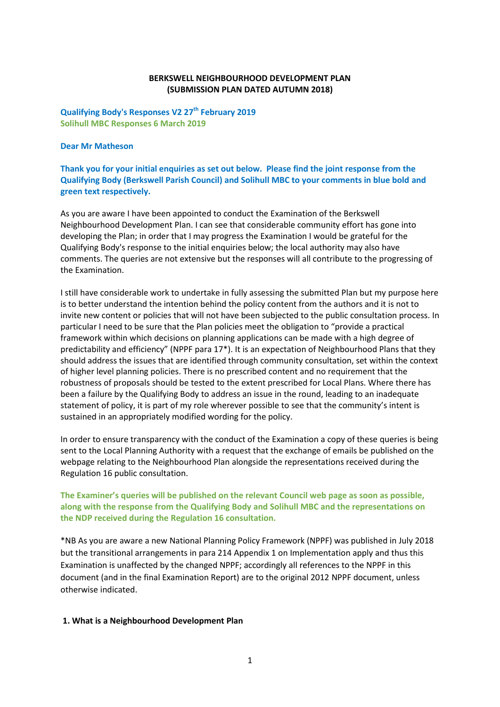## **BERKSWELL NEIGHBOURHOOD DEVELOPMENT PLAN (SUBMISSION PLAN DATED AUTUMN 2018)**

**Qualifying Body's Responses V2 27th February 2019 Solihull MBC Responses 6 March 2019**

### **Dear Mr Matheson**

**Thank you for your initial enquiries as set out below. Please find the joint response from the Qualifying Body (Berkswell Parish Council) and Solihull MBC to your comments in blue bold and green text respectively.**

As you are aware I have been appointed to conduct the Examination of the Berkswell Neighbourhood Development Plan. I can see that considerable community effort has gone into developing the Plan; in order that I may progress the Examination I would be grateful for the Qualifying Body's response to the initial enquiries below; the local authority may also have comments. The queries are not extensive but the responses will all contribute to the progressing of the Examination.

I still have considerable work to undertake in fully assessing the submitted Plan but my purpose here is to better understand the intention behind the policy content from the authors and it is not to invite new content or policies that will not have been subjected to the public consultation process. In particular I need to be sure that the Plan policies meet the obligation to "provide a practical framework within which decisions on planning applications can be made with a high degree of predictability and efficiency" (NPPF para 17\*). It is an expectation of Neighbourhood Plans that they should address the issues that are identified through community consultation, set within the context of higher level planning policies. There is no prescribed content and no requirement that the robustness of proposals should be tested to the extent prescribed for Local Plans. Where there has been a failure by the Qualifying Body to address an issue in the round, leading to an inadequate statement of policy, it is part of my role wherever possible to see that the community's intent is sustained in an appropriately modified wording for the policy.

In order to ensure transparency with the conduct of the Examination a copy of these queries is being sent to the Local Planning Authority with a request that the exchange of emails be published on the webpage relating to the Neighbourhood Plan alongside the representations received during the Regulation 16 public consultation.

## **The Examiner's queries will be published on the relevant Council web page as soon as possible, along with the response from the Qualifying Body and Solihull MBC and the representations on the NDP received during the Regulation 16 consultation.**

\*NB As you are aware a new National Planning Policy Framework (NPPF) was published in July 2018 but the transitional arrangements in para 214 Appendix 1 on Implementation apply and thus this Examination is unaffected by the changed NPPF; accordingly all references to the NPPF in this document (and in the final Examination Report) are to the original 2012 NPPF document, unless otherwise indicated.

## **1. What is a Neighbourhood Development Plan**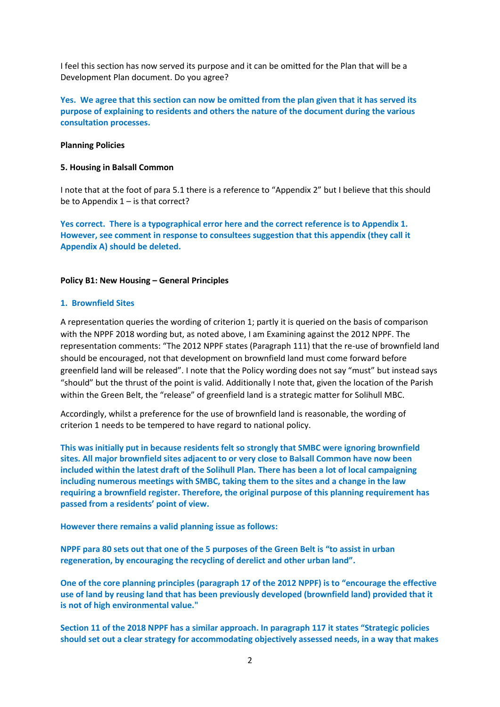I feel this section has now served its purpose and it can be omitted for the Plan that will be a Development Plan document. Do you agree?

**Yes. We agree that this section can now be omitted from the plan given that it has served its purpose of explaining to residents and others the nature of the document during the various consultation processes.**

### **Planning Policies**

#### **5. Housing in Balsall Common**

I note that at the foot of para 5.1 there is a reference to "Appendix 2" but I believe that this should be to Appendix  $1 -$  is that correct?

**Yes correct. There is a typographical error here and the correct reference is to Appendix 1. However, see comment in response to consultees suggestion that this appendix (they call it Appendix A) should be deleted.**

### **Policy B1: New Housing – General Principles**

#### **1. Brownfield Sites**

A representation queries the wording of criterion 1; partly it is queried on the basis of comparison with the NPPF 2018 wording but, as noted above, I am Examining against the 2012 NPPF. The representation comments: "The 2012 NPPF states (Paragraph 111) that the re-use of brownfield land should be encouraged, not that development on brownfield land must come forward before greenfield land will be released". I note that the Policy wording does not say "must" but instead says "should" but the thrust of the point is valid. Additionally I note that, given the location of the Parish within the Green Belt, the "release" of greenfield land is a strategic matter for Solihull MBC.

Accordingly, whilst a preference for the use of brownfield land is reasonable, the wording of criterion 1 needs to be tempered to have regard to national policy.

**This was initially put in because residents felt so strongly that SMBC were ignoring brownfield sites. All major brownfield sites adjacent to or very close to Balsall Common have now been included within the latest draft of the Solihull Plan. There has been a lot of local campaigning including numerous meetings with SMBC, taking them to the sites and a change in the law requiring a brownfield register. Therefore, the original purpose of this planning requirement has passed from a residents' point of view.**

**However there remains a valid planning issue as follows:**

**NPPF para 80 sets out that one of the 5 purposes of the Green Belt is "to assist in urban regeneration, by encouraging the recycling of derelict and other urban land".**

**One of the core planning principles (paragraph 17 of the 2012 NPPF) is to "encourage the effective use of land by reusing land that has been previously developed (brownfield land) provided that it is not of high environmental value."**

**Section 11 of the 2018 NPPF has a similar approach. In paragraph 117 it states "Strategic policies should set out a clear strategy for accommodating objectively assessed needs, in a way that makes**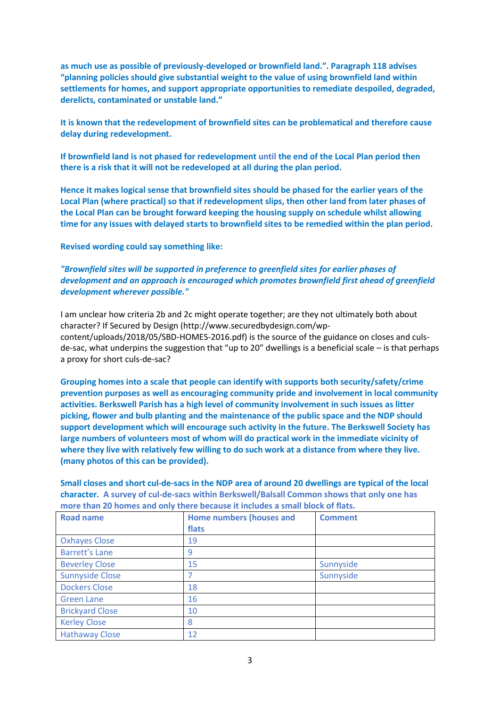**as much use as possible of previously-developed or brownfield land.". Paragraph 118 advises "planning policies should give substantial weight to the value of using brownfield land within settlements for homes, and support appropriate opportunities to remediate despoiled, degraded, derelicts, contaminated or unstable land."** 

**It is known that the redevelopment of brownfield sites can be problematical and therefore cause delay during redevelopment.**

**If brownfield land is not phased for redevelopment until the end of the Local Plan period then there is a risk that it will not be redeveloped at all during the plan period.**

**Hence it makes logical sense that brownfield sites should be phased for the earlier years of the Local Plan (where practical) so that if redevelopment slips, then other land from later phases of the Local Plan can be brought forward keeping the housing supply on schedule whilst allowing time for any issues with delayed starts to brownfield sites to be remedied within the plan period.**

**Revised wording could say something like:**

*"Brownfield sites will be supported in preference to greenfield sites for earlier phases of development and an approach is encouraged which promotes brownfield first ahead of greenfield development wherever possible."*

I am unclear how criteria 2b and 2c might operate together; are they not ultimately both about character? If Secured by Design (http://www.securedbydesign.com/wpcontent/uploads/2018/05/SBD-HOMES-2016.pdf) is the source of the guidance on closes and culsde-sac, what underpins the suggestion that "up to 20" dwellings is a beneficial scale – is that perhaps a proxy for short culs-de-sac?

**Grouping homes into a scale that people can identify with supports both security/safety/crime prevention purposes as well as encouraging community pride and involvement in local community activities. Berkswell Parish has a high level of community involvement in such issues as litter picking, flower and bulb planting and the maintenance of the public space and the NDP should support development which will encourage such activity in the future. The Berkswell Society has large numbers of volunteers most of whom will do practical work in the immediate vicinity of where they live with relatively few willing to do such work at a distance from where they live. (many photos of this can be provided).** 

**Small closes and short cul-de-sacs in the NDP area of around 20 dwellings are typical of the local character. A survey of cul-de-sacs within Berkswell/Balsall Common shows that only one has more than 20 homes and only there because it includes a small block of flats.** 

| <b>Road name</b>       | <b>Home numbers (houses and</b><br>flats | <b>Comment</b> |
|------------------------|------------------------------------------|----------------|
| <b>Oxhayes Close</b>   | 19                                       |                |
| <b>Barrett's Lane</b>  | 9                                        |                |
| <b>Beverley Close</b>  | 15                                       | Sunnyside      |
| <b>Sunnyside Close</b> | 7                                        | Sunnyside      |
| <b>Dockers Close</b>   | 18                                       |                |
| <b>Green Lane</b>      | 16                                       |                |
| <b>Brickyard Close</b> | 10                                       |                |
| <b>Kerley Close</b>    | 8                                        |                |
| <b>Hathaway Close</b>  | 12                                       |                |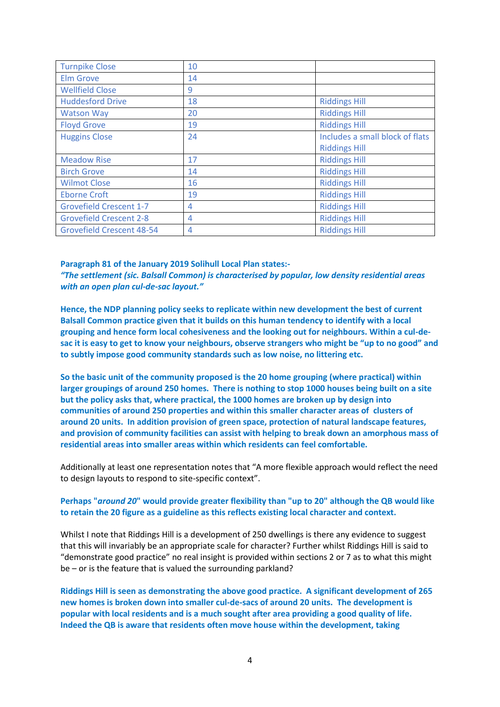| <b>Turnpike Close</b>            | 10 |                                 |
|----------------------------------|----|---------------------------------|
| <b>Elm Grove</b>                 | 14 |                                 |
| <b>Wellfield Close</b>           | 9  |                                 |
| <b>Huddesford Drive</b>          | 18 | <b>Riddings Hill</b>            |
| <b>Watson Way</b>                | 20 | <b>Riddings Hill</b>            |
| <b>Floyd Grove</b>               | 19 | <b>Riddings Hill</b>            |
| <b>Huggins Close</b>             | 24 | Includes a small block of flats |
|                                  |    | <b>Riddings Hill</b>            |
| <b>Meadow Rise</b>               | 17 | <b>Riddings Hill</b>            |
| <b>Birch Grove</b>               | 14 | <b>Riddings Hill</b>            |
| <b>Wilmot Close</b>              | 16 | <b>Riddings Hill</b>            |
| <b>Eborne Croft</b>              | 19 | <b>Riddings Hill</b>            |
| <b>Grovefield Crescent 1-7</b>   | 4  | <b>Riddings Hill</b>            |
| <b>Grovefield Crescent 2-8</b>   | 4  | <b>Riddings Hill</b>            |
| <b>Grovefield Crescent 48-54</b> | 4  | <b>Riddings Hill</b>            |

#### **Paragraph 81 of the January 2019 Solihull Local Plan states:-**

*"The settlement (sic. Balsall Common) is characterised by popular, low density residential areas with an open plan cul-de-sac layout."*

**Hence, the NDP planning policy seeks to replicate within new development the best of current Balsall Common practice given that it builds on this human tendency to identify with a local grouping and hence form local cohesiveness and the looking out for neighbours. Within a cul-desac it is easy to get to know your neighbours, observe strangers who might be "up to no good" and to subtly impose good community standards such as low noise, no littering etc.**

**So the basic unit of the community proposed is the 20 home grouping (where practical) within larger groupings of around 250 homes. There is nothing to stop 1000 houses being built on a site but the policy asks that, where practical, the 1000 homes are broken up by design into communities of around 250 properties and within this smaller character areas of clusters of around 20 units. In addition provision of green space, protection of natural landscape features, and provision of community facilities can assist with helping to break down an amorphous mass of residential areas into smaller areas within which residents can feel comfortable.**

Additionally at least one representation notes that "A more flexible approach would reflect the need to design layouts to respond to site-specific context".

## **Perhaps "***around 20***" would provide greater flexibility than "up to 20" although the QB would like to retain the 20 figure as a guideline as this reflects existing local character and context.**

Whilst I note that Riddings Hill is a development of 250 dwellings is there any evidence to suggest that this will invariably be an appropriate scale for character? Further whilst Riddings Hill is said to "demonstrate good practice" no real insight is provided within sections 2 or 7 as to what this might be – or is the feature that is valued the surrounding parkland?

**Riddings Hill is seen as demonstrating the above good practice. A significant development of 265 new homes is broken down into smaller cul-de-sacs of around 20 units. The development is popular with local residents and is a much sought after area providing a good quality of life. Indeed the QB is aware that residents often move house within the development, taking**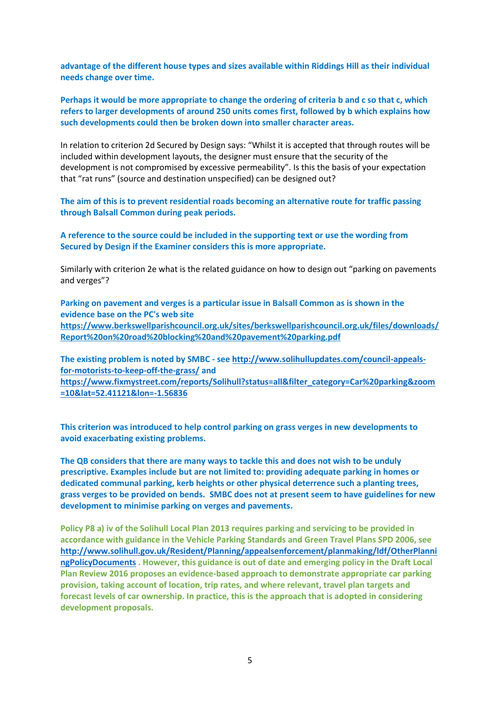**advantage of the different house types and sizes available within Riddings Hill as their individual needs change over time.**

**Perhaps it would be more appropriate to change the ordering of criteria b and c so that c, which refers to larger developments of around 250 units comes first, followed by b which explains how such developments could then be broken down into smaller character areas.**

In relation to criterion 2d Secured by Design says: "Whilst it is accepted that through routes will be included within development layouts, the designer must ensure that the security of the development is not compromised by excessive permeability". Is this the basis of your expectation that "rat runs" (source and destination unspecified) can be designed out?

**The aim of this is to prevent residential roads becoming an alternative route for traffic passing through Balsall Common during peak periods.**

**A reference to the source could be included in the supporting text or use the wording from Secured by Design if the Examiner considers this is more appropriate.**

Similarly with criterion 2e what is the related guidance on how to design out "parking on pavements and verges"?

**Parking on pavement and verges is a particular issue in Balsall Common as is shown in the evidence base on the PC's web site [https://www.berkswellparishcouncil.org.uk/sites/berkswellparishcouncil.org.uk/files/downloads/](https://www.berkswellparishcouncil.org.uk/sites/berkswellparishcouncil.org.uk/files/downloads/Report%20on%20road%20blocking%20and%20pavement%20parking.pdf) [Report%20on%20road%20blocking%20and%20pavement%20parking.pdf](https://www.berkswellparishcouncil.org.uk/sites/berkswellparishcouncil.org.uk/files/downloads/Report%20on%20road%20blocking%20and%20pavement%20parking.pdf)**

**The existing problem is noted by SMBC - se[e http://www.solihullupdates.com/council-appeals](http://www.solihullupdates.com/council-appeals-for-motorists-to-keep-off-the-grass/)[for-motorists-to-keep-off-the-grass/](http://www.solihullupdates.com/council-appeals-for-motorists-to-keep-off-the-grass/) and [https://www.fixmystreet.com/reports/Solihull?status=all&filter\\_category=Car%20parking&zoom](https://www.fixmystreet.com/reports/Solihull?status=all&filter_category=Car%20parking&zoom=10&lat=52.41121&lon=-1.56836%20) [=10&lat=52.41121&lon=-1.56836](https://www.fixmystreet.com/reports/Solihull?status=all&filter_category=Car%20parking&zoom=10&lat=52.41121&lon=-1.56836%20)**

**This criterion was introduced to help control parking on grass verges in new developments to avoid exacerbating existing problems.** 

**The QB considers that there are many ways to tackle this and does not wish to be unduly prescriptive. Examples include but are not limited to: providing adequate parking in homes or dedicated communal parking, kerb heights or other physical deterrence such a planting trees, grass verges to be provided on bends. SMBC does not at present seem to have guidelines for new development to minimise parking on verges and pavements.**

**Policy P8 a) iv of the Solihull Local Plan 2013 requires parking and servicing to be provided in accordance with guidance in the Vehicle Parking Standards and Green Travel Plans SPD 2006, see [http://www.solihull.gov.uk/Resident/Planning/appealsenforcement/planmaking/ldf/OtherPlanni](http://www.solihull.gov.uk/Resident/Planning/appealsenforcement/planmaking/ldf/OtherPlanningPolicyDocuments) [ngPolicyDocuments](http://www.solihull.gov.uk/Resident/Planning/appealsenforcement/planmaking/ldf/OtherPlanningPolicyDocuments) . However, this guidance is out of date and emerging policy in the Draft Local Plan Review 2016 proposes an evidence-based approach to demonstrate appropriate car parking provision, taking account of location, trip rates, and where relevant, travel plan targets and forecast levels of car ownership. In practice, this is the approach that is adopted in considering development proposals.**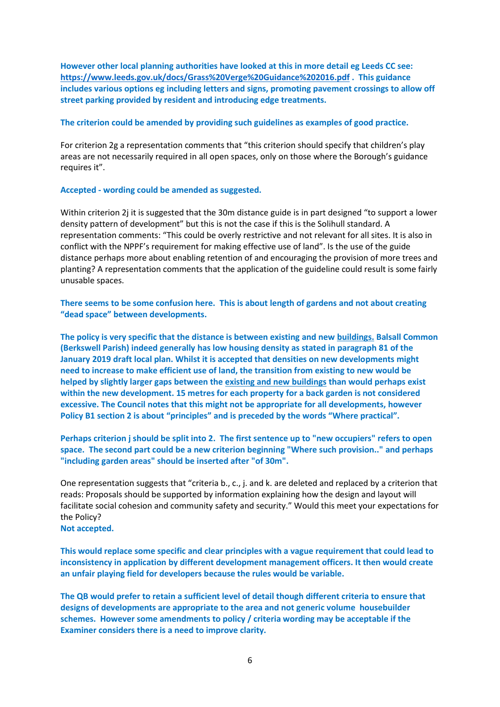**However other local planning authorities have looked at this in more detail eg Leeds CC see: <https://www.leeds.gov.uk/docs/Grass%20Verge%20Guidance%202016.pdf> . This guidance includes various options eg including letters and signs, promoting pavement crossings to allow off street parking provided by resident and introducing edge treatments.**

### **The criterion could be amended by providing such guidelines as examples of good practice.**

For criterion 2g a representation comments that "this criterion should specify that children's play areas are not necessarily required in all open spaces, only on those where the Borough's guidance requires it".

### **Accepted - wording could be amended as suggested.**

Within criterion 2j it is suggested that the 30m distance guide is in part designed "to support a lower density pattern of development" but this is not the case if this is the Solihull standard. A representation comments: "This could be overly restrictive and not relevant for all sites. It is also in conflict with the NPPF's requirement for making effective use of land". Is the use of the guide distance perhaps more about enabling retention of and encouraging the provision of more trees and planting? A representation comments that the application of the guideline could result is some fairly unusable spaces.

**There seems to be some confusion here. This is about length of gardens and not about creating "dead space" between developments.** 

**The policy is very specific that the distance is between existing and new buildings. Balsall Common (Berkswell Parish) indeed generally has low housing density as stated in paragraph 81 of the January 2019 draft local plan. Whilst it is accepted that densities on new developments might need to increase to make efficient use of land, the transition from existing to new would be helped by slightly larger gaps between the existing and new buildings than would perhaps exist within the new development. 15 metres for each property for a back garden is not considered excessive. The Council notes that this might not be appropriate for all developments, however Policy B1 section 2 is about "principles" and is preceded by the words "Where practical".**

**Perhaps criterion j should be split into 2. The first sentence up to "new occupiers" refers to open space. The second part could be a new criterion beginning "Where such provision.." and perhaps "including garden areas" should be inserted after "of 30m".**

One representation suggests that "criteria b., c., j. and k. are deleted and replaced by a criterion that reads: Proposals should be supported by information explaining how the design and layout will facilitate social cohesion and community safety and security." Would this meet your expectations for the Policy?

**Not accepted.** 

**This would replace some specific and clear principles with a vague requirement that could lead to inconsistency in application by different development management officers. It then would create an unfair playing field for developers because the rules would be variable.**

**The QB would prefer to retain a sufficient level of detail though different criteria to ensure that designs of developments are appropriate to the area and not generic volume housebuilder schemes. However some amendments to policy / criteria wording may be acceptable if the Examiner considers there is a need to improve clarity.**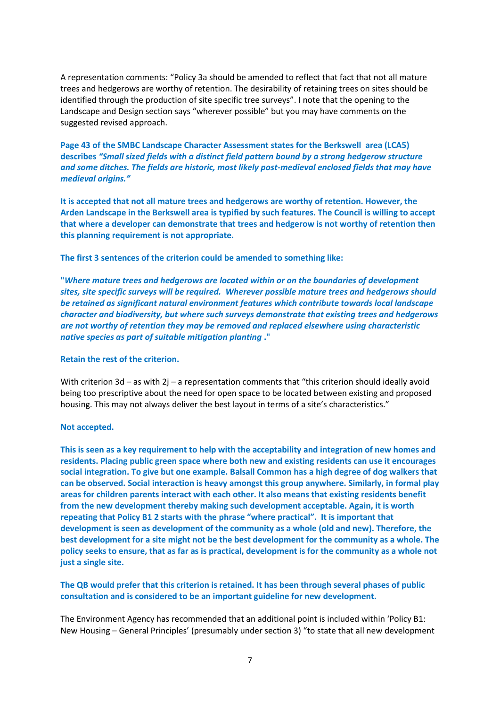A representation comments: "Policy 3a should be amended to reflect that fact that not all mature trees and hedgerows are worthy of retention. The desirability of retaining trees on sites should be identified through the production of site specific tree surveys". I note that the opening to the Landscape and Design section says "wherever possible" but you may have comments on the suggested revised approach.

**Page 43 of the SMBC Landscape Character Assessment states for the Berkswell area (LCA5) describes** *"Small sized fields with a distinct field pattern bound by a strong hedgerow structure and some ditches. The fields are historic, most likely post-medieval enclosed fields that may have medieval origins."* 

**It is accepted that not all mature trees and hedgerows are worthy of retention. However, the Arden Landscape in the Berkswell area is typified by such features. The Council is willing to accept that where a developer can demonstrate that trees and hedgerow is not worthy of retention then this planning requirement is not appropriate.**

**The first 3 sentences of the criterion could be amended to something like:**

**"***Where mature trees and hedgerows are located within or on the boundaries of development sites, site specific surveys will be required. Wherever possible mature trees and hedgerows should be retained as significant natural environment features which contribute towards local landscape character and biodiversity, but where such surveys demonstrate that existing trees and hedgerows are not worthy of retention they may be removed and replaced elsewhere using characteristic native species as part of suitable mitigation planting* **."**

### **Retain the rest of the criterion.**

With criterion 3d – as with 2i – a representation comments that "this criterion should ideally avoid being too prescriptive about the need for open space to be located between existing and proposed housing. This may not always deliver the best layout in terms of a site's characteristics."

### **Not accepted.**

**This is seen as a key requirement to help with the acceptability and integration of new homes and residents. Placing public green space where both new and existing residents can use it encourages social integration. To give but one example. Balsall Common has a high degree of dog walkers that can be observed. Social interaction is heavy amongst this group anywhere. Similarly, in formal play areas for children parents interact with each other. It also means that existing residents benefit from the new development thereby making such development acceptable. Again, it is worth repeating that Policy B1 2 starts with the phrase "where practical". It is important that development is seen as development of the community as a whole (old and new). Therefore, the best development for a site might not be the best development for the community as a whole. The policy seeks to ensure, that as far as is practical, development is for the community as a whole not just a single site.**

**The QB would prefer that this criterion is retained. It has been through several phases of public consultation and is considered to be an important guideline for new development.**

The Environment Agency has recommended that an additional point is included within 'Policy B1: New Housing – General Principles' (presumably under section 3) "to state that all new development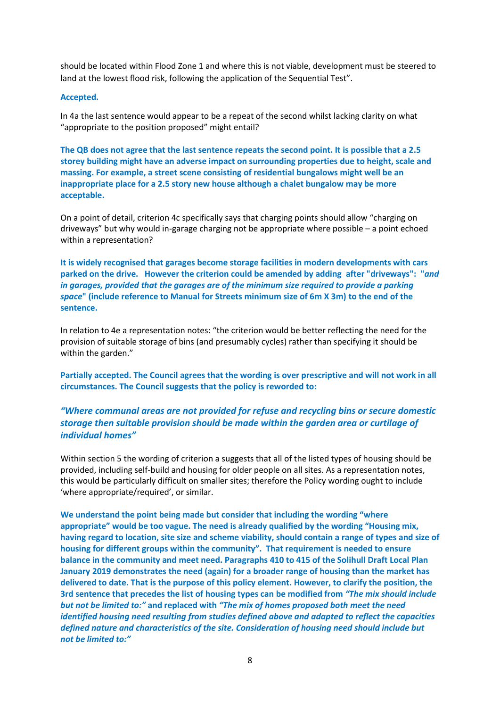should be located within Flood Zone 1 and where this is not viable, development must be steered to land at the lowest flood risk, following the application of the Sequential Test".

### **Accepted.**

In 4a the last sentence would appear to be a repeat of the second whilst lacking clarity on what "appropriate to the position proposed" might entail?

**The QB does not agree that the last sentence repeats the second point. It is possible that a 2.5 storey building might have an adverse impact on surrounding properties due to height, scale and massing. For example, a street scene consisting of residential bungalows might well be an inappropriate place for a 2.5 story new house although a chalet bungalow may be more acceptable.**

On a point of detail, criterion 4c specifically says that charging points should allow "charging on driveways" but why would in-garage charging not be appropriate where possible – a point echoed within a representation?

**It is widely recognised that garages become storage facilities in modern developments with cars parked on the drive. However the criterion could be amended by adding after "driveways": "***and in garages, provided that the garages are of the minimum size required to provide a parking space***" (include reference to Manual for Streets minimum size of 6m X 3m) to the end of the sentence.**

In relation to 4e a representation notes: "the criterion would be better reflecting the need for the provision of suitable storage of bins (and presumably cycles) rather than specifying it should be within the garden."

**Partially accepted. The Council agrees that the wording is over prescriptive and will not work in all circumstances. The Council suggests that the policy is reworded to:**

# *"Where communal areas are not provided for refuse and recycling bins or secure domestic storage then suitable provision should be made within the garden area or curtilage of individual homes"*

Within section 5 the wording of criterion a suggests that all of the listed types of housing should be provided, including self-build and housing for older people on all sites. As a representation notes, this would be particularly difficult on smaller sites; therefore the Policy wording ought to include 'where appropriate/required', or similar.

**We understand the point being made but consider that including the wording "where appropriate" would be too vague. The need is already qualified by the wording "Housing mix, having regard to location, site size and scheme viability, should contain a range of types and size of housing for different groups within the community". That requirement is needed to ensure balance in the community and meet need. Paragraphs 410 to 415 of the Solihull Draft Local Plan January 2019 demonstrates the need (again) for a broader range of housing than the market has delivered to date. That is the purpose of this policy element. However, to clarify the position, the 3rd sentence that precedes the list of housing types can be modified from** *"The mix should include but not be limited to:"* **and replaced with** *"The mix of homes proposed both meet the need identified housing need resulting from studies defined above and adapted to reflect the capacities defined nature and characteristics of the site. Consideration of housing need should include but not be limited to:"*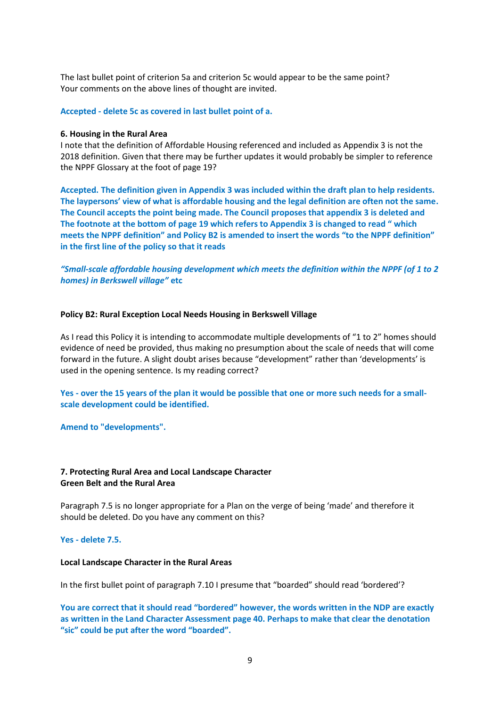The last bullet point of criterion 5a and criterion 5c would appear to be the same point? Your comments on the above lines of thought are invited.

**Accepted - delete 5c as covered in last bullet point of a.**

### **6. Housing in the Rural Area**

I note that the definition of Affordable Housing referenced and included as Appendix 3 is not the 2018 definition. Given that there may be further updates it would probably be simpler to reference the NPPF Glossary at the foot of page 19?

**Accepted. The definition given in Appendix 3 was included within the draft plan to help residents. The laypersons' view of what is affordable housing and the legal definition are often not the same. The Council accepts the point being made. The Council proposes that appendix 3 is deleted and The footnote at the bottom of page 19 which refers to Appendix 3 is changed to read " which meets the NPPF definition" and Policy B2 is amended to insert the words "to the NPPF definition" in the first line of the policy so that it reads**

*"Small-scale affordable housing development which meets the definition within the NPPF (of 1 to 2 homes) in Berkswell village"* **etc**

### **Policy B2: Rural Exception Local Needs Housing in Berkswell Village**

As I read this Policy it is intending to accommodate multiple developments of "1 to 2" homes should evidence of need be provided, thus making no presumption about the scale of needs that will come forward in the future. A slight doubt arises because "development" rather than 'developments' is used in the opening sentence. Is my reading correct?

**Yes - over the 15 years of the plan it would be possible that one or more such needs for a smallscale development could be identified.** 

**Amend to "developments".**

## **7. Protecting Rural Area and Local Landscape Character Green Belt and the Rural Area**

Paragraph 7.5 is no longer appropriate for a Plan on the verge of being 'made' and therefore it should be deleted. Do you have any comment on this?

## **Yes - delete 7.5.**

### **Local Landscape Character in the Rural Areas**

In the first bullet point of paragraph 7.10 I presume that "boarded" should read 'bordered'?

**You are correct that it should read "bordered" however, the words written in the NDP are exactly as written in the Land Character Assessment page 40. Perhaps to make that clear the denotation "sic" could be put after the word "boarded".**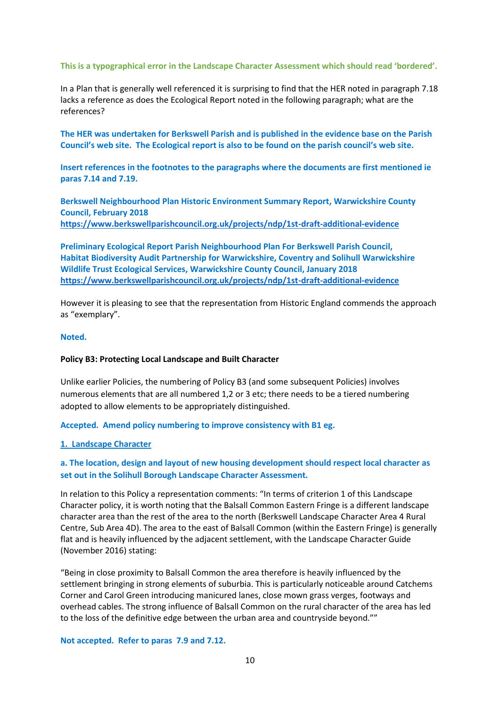### **This is a typographical error in the Landscape Character Assessment which should read 'bordered'.**

In a Plan that is generally well referenced it is surprising to find that the HER noted in paragraph 7.18 lacks a reference as does the Ecological Report noted in the following paragraph; what are the references?

**The HER was undertaken for Berkswell Parish and is published in the evidence base on the Parish Council's web site. The Ecological report is also to be found on the parish council's web site.**

**Insert references in the footnotes to the paragraphs where the documents are first mentioned ie paras 7.14 and 7.19.**

**Berkswell Neighbourhood Plan Historic Environment Summary Report, Warwickshire County Council, February 2018 <https://www.berkswellparishcouncil.org.uk/projects/ndp/1st-draft-additional-evidence>**

**Preliminary Ecological Report Parish Neighbourhood Plan For Berkswell Parish Council, Habitat Biodiversity Audit Partnership for Warwickshire, Coventry and Solihull Warwickshire Wildlife Trust Ecological Services, Warwickshire County Council, January 2018 <https://www.berkswellparishcouncil.org.uk/projects/ndp/1st-draft-additional-evidence>**

However it is pleasing to see that the representation from Historic England commends the approach as "exemplary".

### **Noted.**

### **Policy B3: Protecting Local Landscape and Built Character**

Unlike earlier Policies, the numbering of Policy B3 (and some subsequent Policies) involves numerous elements that are all numbered 1,2 or 3 etc; there needs to be a tiered numbering adopted to allow elements to be appropriately distinguished.

### **Accepted. Amend policy numbering to improve consistency with B1 eg.**

### **1. Landscape Character**

## **a. The location, design and layout of new housing development should respect local character as set out in the Solihull Borough Landscape Character Assessment.**

In relation to this Policy a representation comments: "In terms of criterion 1 of this Landscape Character policy, it is worth noting that the Balsall Common Eastern Fringe is a different landscape character area than the rest of the area to the north (Berkswell Landscape Character Area 4 Rural Centre, Sub Area 4D). The area to the east of Balsall Common (within the Eastern Fringe) is generally flat and is heavily influenced by the adjacent settlement, with the Landscape Character Guide (November 2016) stating:

"Being in close proximity to Balsall Common the area therefore is heavily influenced by the settlement bringing in strong elements of suburbia. This is particularly noticeable around Catchems Corner and Carol Green introducing manicured lanes, close mown grass verges, footways and overhead cables. The strong influence of Balsall Common on the rural character of the area has led to the loss of the definitive edge between the urban area and countryside beyond.""

### **Not accepted. Refer to paras 7.9 and 7.12.**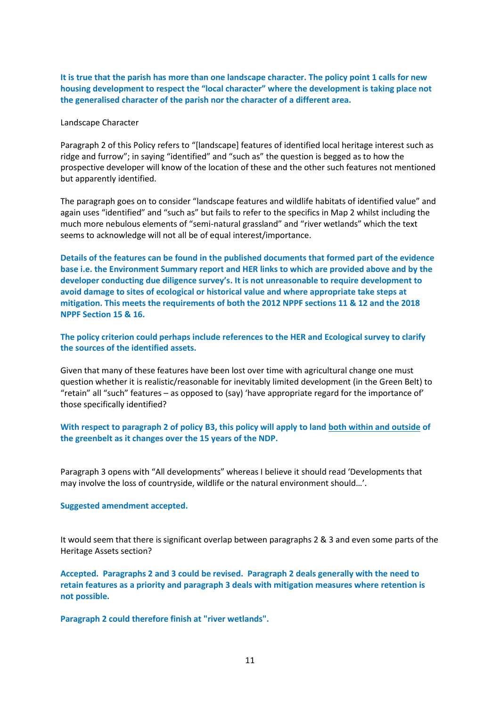**It is true that the parish has more than one landscape character. The policy point 1 calls for new housing development to respect the "local character" where the development is taking place not the generalised character of the parish nor the character of a different area.**

Landscape Character

Paragraph 2 of this Policy refers to "[landscape] features of identified local heritage interest such as ridge and furrow"; in saying "identified" and "such as" the question is begged as to how the prospective developer will know of the location of these and the other such features not mentioned but apparently identified.

The paragraph goes on to consider "landscape features and wildlife habitats of identified value" and again uses "identified" and "such as" but fails to refer to the specifics in Map 2 whilst including the much more nebulous elements of "semi-natural grassland" and "river wetlands" which the text seems to acknowledge will not all be of equal interest/importance.

**Details of the features can be found in the published documents that formed part of the evidence base i.e. the Environment Summary report and HER links to which are provided above and by the developer conducting due diligence survey's. It is not unreasonable to require development to avoid damage to sites of ecological or historical value and where appropriate take steps at mitigation. This meets the requirements of both the 2012 NPPF sections 11 & 12 and the 2018 NPPF Section 15 & 16.**

**The policy criterion could perhaps include references to the HER and Ecological survey to clarify the sources of the identified assets.** 

Given that many of these features have been lost over time with agricultural change one must question whether it is realistic/reasonable for inevitably limited development (in the Green Belt) to "retain" all "such" features – as opposed to (say) 'have appropriate regard for the importance of' those specifically identified?

**With respect to paragraph 2 of policy B3, this policy will apply to land both within and outside of the greenbelt as it changes over the 15 years of the NDP.** 

Paragraph 3 opens with "All developments" whereas I believe it should read 'Developments that may involve the loss of countryside, wildlife or the natural environment should…'.

**Suggested amendment accepted.**

It would seem that there is significant overlap between paragraphs 2 & 3 and even some parts of the Heritage Assets section?

**Accepted. Paragraphs 2 and 3 could be revised. Paragraph 2 deals generally with the need to retain features as a priority and paragraph 3 deals with mitigation measures where retention is not possible.**

**Paragraph 2 could therefore finish at "river wetlands".**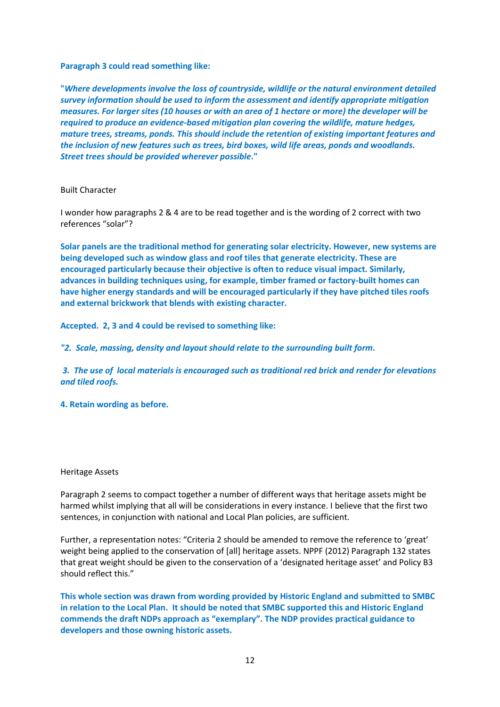## **Paragraph 3 could read something like:**

**"***Where developments involve the loss of countryside, wildlife or the natural environment detailed survey information should be used to inform the assessment and identify appropriate mitigation measures. For larger sites (10 houses or with an area of 1 hectare or more) the developer will be required to produce an evidence-based mitigation plan covering the wildlife, mature hedges, mature trees, streams, ponds. This should include the retention of existing important features and the inclusion of new features such as trees, bird boxes, wild life areas, ponds and woodlands. Street trees should be provided wherever possible***."**

### Built Character

I wonder how paragraphs 2 & 4 are to be read together and is the wording of 2 correct with two references "solar"?

**Solar panels are the traditional method for generating solar electricity. However, new systems are being developed such as window glass and roof tiles that generate electricity. These are encouraged particularly because their objective is often to reduce visual impact. Similarly, advances in building techniques using, for example, timber framed or factory-built homes can have higher energy standards and will be encouraged particularly if they have pitched tiles roofs and external brickwork that blends with existing character.**

**Accepted. 2, 3 and 4 could be revised to something like:**

*"2. Scale, massing, density and layout should relate to the surrounding built form.*

*3. The use of local materials is encouraged such as traditional red brick and render for elevations and tiled roofs.*

## **4. Retain wording as before.**

### Heritage Assets

Paragraph 2 seems to compact together a number of different ways that heritage assets might be harmed whilst implying that all will be considerations in every instance. I believe that the first two sentences, in conjunction with national and Local Plan policies, are sufficient.

Further, a representation notes: "Criteria 2 should be amended to remove the reference to 'great' weight being applied to the conservation of [all] heritage assets. NPPF (2012) Paragraph 132 states that great weight should be given to the conservation of a 'designated heritage asset' and Policy B3 should reflect this."

**This whole section was drawn from wording provided by Historic England and submitted to SMBC in relation to the Local Plan. It should be noted that SMBC supported this and Historic England commends the draft NDPs approach as "exemplary". The NDP provides practical guidance to developers and those owning historic assets.**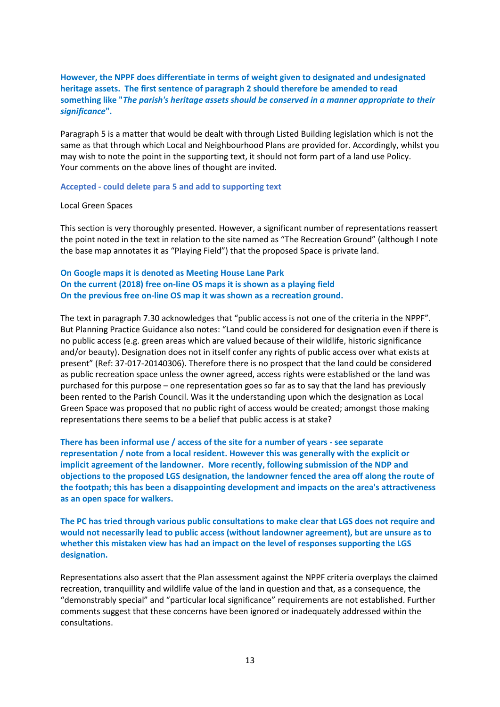## **However, the NPPF does differentiate in terms of weight given to designated and undesignated heritage assets. The first sentence of paragraph 2 should therefore be amended to read something like "***The parish's heritage assets should be conserved in a manner appropriate to their significance***".**

Paragraph 5 is a matter that would be dealt with through Listed Building legislation which is not the same as that through which Local and Neighbourhood Plans are provided for. Accordingly, whilst you may wish to note the point in the supporting text, it should not form part of a land use Policy. Your comments on the above lines of thought are invited.

### **Accepted - could delete para 5 and add to supporting text**

### Local Green Spaces

This section is very thoroughly presented. However, a significant number of representations reassert the point noted in the text in relation to the site named as "The Recreation Ground" (although I note the base map annotates it as "Playing Field") that the proposed Space is private land.

## **On Google maps it is denoted as Meeting House Lane Park On the current (2018) free on-line OS maps it is shown as a playing field On the previous free on-line OS map it was shown as a recreation ground.**

The text in paragraph 7.30 acknowledges that "public access is not one of the criteria in the NPPF". But Planning Practice Guidance also notes: "Land could be considered for designation even if there is no public access (e.g. green areas which are valued because of their wildlife, historic significance and/or beauty). Designation does not in itself confer any rights of public access over what exists at present" (Ref: 37-017-20140306). Therefore there is no prospect that the land could be considered as public recreation space unless the owner agreed, access rights were established or the land was purchased for this purpose – one representation goes so far as to say that the land has previously been rented to the Parish Council. Was it the understanding upon which the designation as Local Green Space was proposed that no public right of access would be created; amongst those making representations there seems to be a belief that public access is at stake?

**There has been informal use / access of the site for a number of years - see separate representation / note from a local resident. However this was generally with the explicit or implicit agreement of the landowner. More recently, following submission of the NDP and objections to the proposed LGS designation, the landowner fenced the area off along the route of the footpath; this has been a disappointing development and impacts on the area's attractiveness as an open space for walkers.** 

**The PC has tried through various public consultations to make clear that LGS does not require and would not necessarily lead to public access (without landowner agreement), but are unsure as to whether this mistaken view has had an impact on the level of responses supporting the LGS designation.**

Representations also assert that the Plan assessment against the NPPF criteria overplays the claimed recreation, tranquillity and wildlife value of the land in question and that, as a consequence, the "demonstrably special" and "particular local significance" requirements are not established. Further comments suggest that these concerns have been ignored or inadequately addressed within the consultations.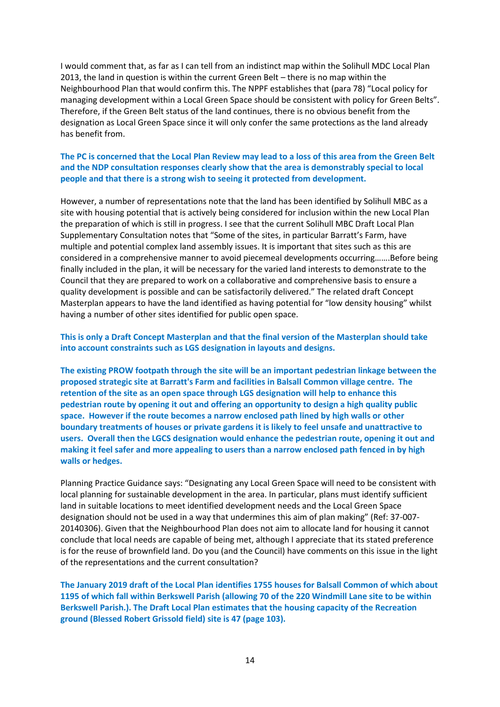I would comment that, as far as I can tell from an indistinct map within the Solihull MDC Local Plan 2013, the land in question is within the current Green Belt – there is no map within the Neighbourhood Plan that would confirm this. The NPPF establishes that (para 78) "Local policy for managing development within a Local Green Space should be consistent with policy for Green Belts". Therefore, if the Green Belt status of the land continues, there is no obvious benefit from the designation as Local Green Space since it will only confer the same protections as the land already has benefit from.

## **The PC is concerned that the Local Plan Review may lead to a loss of this area from the Green Belt and the NDP consultation responses clearly show that the area is demonstrably special to local people and that there is a strong wish to seeing it protected from development.**

However, a number of representations note that the land has been identified by Solihull MBC as a site with housing potential that is actively being considered for inclusion within the new Local Plan the preparation of which is still in progress. I see that the current Solihull MBC Draft Local Plan Supplementary Consultation notes that "Some of the sites, in particular Barratt's Farm, have multiple and potential complex land assembly issues. It is important that sites such as this are considered in a comprehensive manner to avoid piecemeal developments occurring…….Before being finally included in the plan, it will be necessary for the varied land interests to demonstrate to the Council that they are prepared to work on a collaborative and comprehensive basis to ensure a quality development is possible and can be satisfactorily delivered." The related draft Concept Masterplan appears to have the land identified as having potential for "low density housing" whilst having a number of other sites identified for public open space.

## **This is only a Draft Concept Masterplan and that the final version of the Masterplan should take into account constraints such as LGS designation in layouts and designs.**

**The existing PROW footpath through the site will be an important pedestrian linkage between the proposed strategic site at Barratt's Farm and facilities in Balsall Common village centre. The retention of the site as an open space through LGS designation will help to enhance this pedestrian route by opening it out and offering an opportunity to design a high quality public space. However if the route becomes a narrow enclosed path lined by high walls or other boundary treatments of houses or private gardens it is likely to feel unsafe and unattractive to users. Overall then the LGCS designation would enhance the pedestrian route, opening it out and making it feel safer and more appealing to users than a narrow enclosed path fenced in by high walls or hedges.**

Planning Practice Guidance says: "Designating any Local Green Space will need to be consistent with local planning for sustainable development in the area. In particular, plans must identify sufficient land in suitable locations to meet identified development needs and the Local Green Space designation should not be used in a way that undermines this aim of plan making" (Ref: 37-007- 20140306). Given that the Neighbourhood Plan does not aim to allocate land for housing it cannot conclude that local needs are capable of being met, although I appreciate that its stated preference is for the reuse of brownfield land. Do you (and the Council) have comments on this issue in the light of the representations and the current consultation?

**The January 2019 draft of the Local Plan identifies 1755 houses for Balsall Common of which about 1195 of which fall within Berkswell Parish (allowing 70 of the 220 Windmill Lane site to be within Berkswell Parish.). The Draft Local Plan estimates that the housing capacity of the Recreation ground (Blessed Robert Grissold field) site is 47 (page 103).**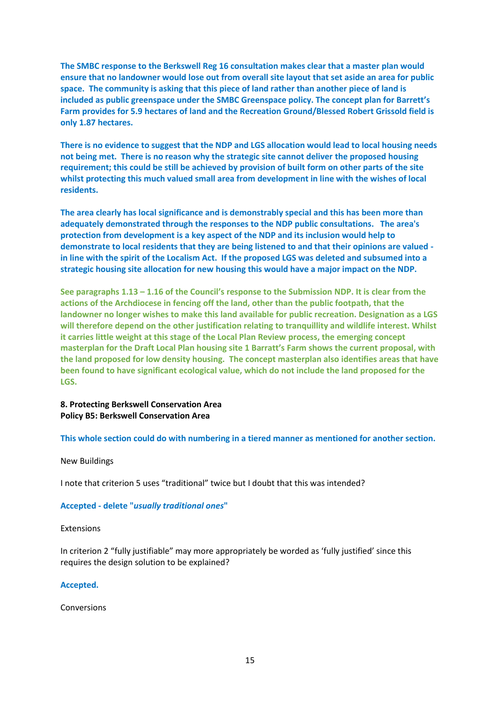**The SMBC response to the Berkswell Reg 16 consultation makes clear that a master plan would ensure that no landowner would lose out from overall site layout that set aside an area for public space. The community is asking that this piece of land rather than another piece of land is included as public greenspace under the SMBC Greenspace policy. The concept plan for Barrett's Farm provides for 5.9 hectares of land and the Recreation Ground/Blessed Robert Grissold field is only 1.87 hectares.**

**There is no evidence to suggest that the NDP and LGS allocation would lead to local housing needs not being met. There is no reason why the strategic site cannot deliver the proposed housing requirement; this could be still be achieved by provision of built form on other parts of the site whilst protecting this much valued small area from development in line with the wishes of local residents.**

**The area clearly has local significance and is demonstrably special and this has been more than adequately demonstrated through the responses to the NDP public consultations. The area's protection from development is a key aspect of the NDP and its inclusion would help to demonstrate to local residents that they are being listened to and that their opinions are valued in line with the spirit of the Localism Act. If the proposed LGS was deleted and subsumed into a strategic housing site allocation for new housing this would have a major impact on the NDP.** 

**See paragraphs 1.13 – 1.16 of the Council's response to the Submission NDP. It is clear from the actions of the Archdiocese in fencing off the land, other than the public footpath, that the landowner no longer wishes to make this land available for public recreation. Designation as a LGS will therefore depend on the other justification relating to tranquillity and wildlife interest. Whilst it carries little weight at this stage of the Local Plan Review process, the emerging concept masterplan for the Draft Local Plan housing site 1 Barratt's Farm shows the current proposal, with the land proposed for low density housing. The concept masterplan also identifies areas that have been found to have significant ecological value, which do not include the land proposed for the LGS.** 

## **8. Protecting Berkswell Conservation Area Policy B5: Berkswell Conservation Area**

## **This whole section could do with numbering in a tiered manner as mentioned for another section.**

### New Buildings

I note that criterion 5 uses "traditional" twice but I doubt that this was intended?

### **Accepted - delete "***usually traditional ones***"**

### Extensions

In criterion 2 "fully justifiable" may more appropriately be worded as 'fully justified' since this requires the design solution to be explained?

### **Accepted.**

Conversions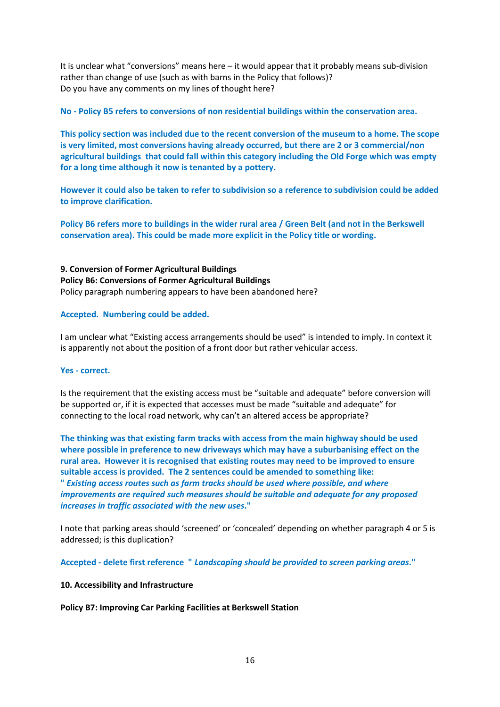It is unclear what "conversions" means here – it would appear that it probably means sub-division rather than change of use (such as with barns in the Policy that follows)? Do you have any comments on my lines of thought here?

**No - Policy B5 refers to conversions of non residential buildings within the conservation area.** 

**This policy section was included due to the recent conversion of the museum to a home. The scope is very limited, most conversions having already occurred, but there are 2 or 3 commercial/non agricultural buildings that could fall within this category including the Old Forge which was empty for a long time although it now is tenanted by a pottery.**

**However it could also be taken to refer to subdivision so a reference to subdivision could be added to improve clarification.** 

**Policy B6 refers more to buildings in the wider rural area / Green Belt (and not in the Berkswell conservation area). This could be made more explicit in the Policy title or wording.**

**9. Conversion of Former Agricultural Buildings Policy B6: Conversions of Former Agricultural Buildings**  Policy paragraph numbering appears to have been abandoned here?

## **Accepted. Numbering could be added.**

I am unclear what "Existing access arrangements should be used" is intended to imply. In context it is apparently not about the position of a front door but rather vehicular access.

## **Yes - correct.**

Is the requirement that the existing access must be "suitable and adequate" before conversion will be supported or, if it is expected that accesses must be made "suitable and adequate" for connecting to the local road network, why can't an altered access be appropriate?

**The thinking was that existing farm tracks with access from the main highway should be used where possible in preference to new driveways which may have a suburbanising effect on the rural area. However it is recognised that existing routes may need to be improved to ensure suitable access is provided. The 2 sentences could be amended to something like: "** *Existing access routes such as farm tracks should be used where possible, and where improvements are required such measures should be suitable and adequate for any proposed increases in traffic associated with the new uses***."**

I note that parking areas should 'screened' or 'concealed' depending on whether paragraph 4 or 5 is addressed; is this duplication?

**Accepted - delete first reference "** *Landscaping should be provided to screen parking areas***."**

## **10. Accessibility and Infrastructure**

**Policy B7: Improving Car Parking Facilities at Berkswell Station**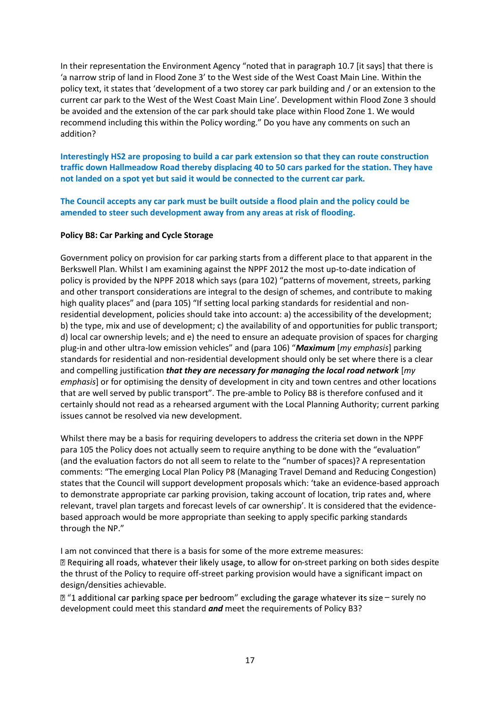In their representation the Environment Agency "noted that in paragraph 10.7 [it says] that there is 'a narrow strip of land in Flood Zone 3' to the West side of the West Coast Main Line. Within the policy text, it states that 'development of a two storey car park building and / or an extension to the current car park to the West of the West Coast Main Line'. Development within Flood Zone 3 should be avoided and the extension of the car park should take place within Flood Zone 1. We would recommend including this within the Policy wording." Do you have any comments on such an addition?

**Interestingly HS2 are proposing to build a car park extension so that they can route construction traffic down Hallmeadow Road thereby displacing 40 to 50 cars parked for the station. They have not landed on a spot yet but said it would be connected to the current car park.** 

**The Council accepts any car park must be built outside a flood plain and the policy could be amended to steer such development away from any areas at risk of flooding.**

## **Policy B8: Car Parking and Cycle Storage**

Government policy on provision for car parking starts from a different place to that apparent in the Berkswell Plan. Whilst I am examining against the NPPF 2012 the most up-to-date indication of policy is provided by the NPPF 2018 which says (para 102) "patterns of movement, streets, parking and other transport considerations are integral to the design of schemes, and contribute to making high quality places" and (para 105) "If setting local parking standards for residential and nonresidential development, policies should take into account: a) the accessibility of the development; b) the type, mix and use of development; c) the availability of and opportunities for public transport; d) local car ownership levels; and e) the need to ensure an adequate provision of spaces for charging plug-in and other ultra-low emission vehicles" and (para 106) "*Maximum* [*my emphasis*] parking standards for residential and non-residential development should only be set where there is a clear and compelling justification *that they are necessary for managing the local road network* [*my emphasis*] or for optimising the density of development in city and town centres and other locations that are well served by public transport". The pre-amble to Policy B8 is therefore confused and it certainly should not read as a rehearsed argument with the Local Planning Authority; current parking issues cannot be resolved via new development.

Whilst there may be a basis for requiring developers to address the criteria set down in the NPPF para 105 the Policy does not actually seem to require anything to be done with the "evaluation" (and the evaluation factors do not all seem to relate to the "number of spaces)? A representation comments: "The emerging Local Plan Policy P8 (Managing Travel Demand and Reducing Congestion) states that the Council will support development proposals which: 'take an evidence-based approach to demonstrate appropriate car parking provision, taking account of location, trip rates and, where relevant, travel plan targets and forecast levels of car ownership'. It is considered that the evidencebased approach would be more appropriate than seeking to apply specific parking standards through the NP."

I am not convinced that there is a basis for some of the more extreme measures: a Requiring all roads, whatever their likely usage, to allow for on-street parking on both sides despite the thrust of the Policy to require off-street parking provision would have a significant impact on design/densities achievable.

 $\mathbb Z$  "1 additional car parking space per bedroom" excluding the garage whatever its size – surely no development could meet this standard *and* meet the requirements of Policy B3?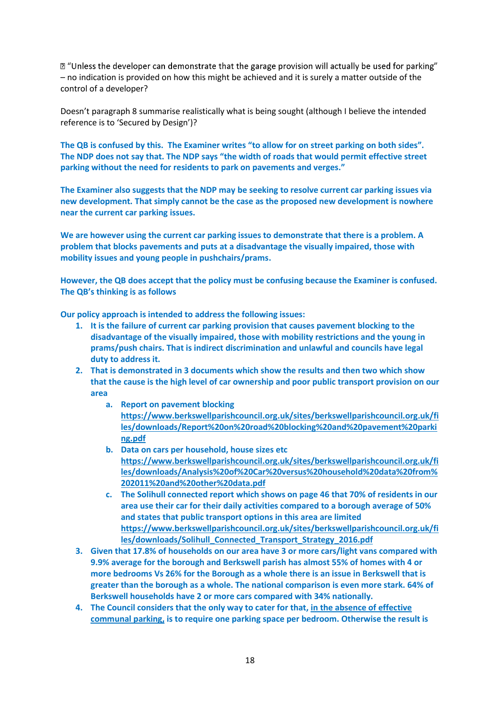$\mathbb Z$  "Unless the developer can demonstrate that the garage provision will actually be used for parking" – no indication is provided on how this might be achieved and it is surely a matter outside of the control of a developer?

Doesn't paragraph 8 summarise realistically what is being sought (although I believe the intended reference is to 'Secured by Design')?

**The QB is confused by this. The Examiner writes "to allow for on street parking on both sides". The NDP does not say that. The NDP says "the width of roads that would permit effective street parking without the need for residents to park on pavements and verges."**

**The Examiner also suggests that the NDP may be seeking to resolve current car parking issues via new development. That simply cannot be the case as the proposed new development is nowhere near the current car parking issues.** 

**We are however using the current car parking issues to demonstrate that there is a problem. A problem that blocks pavements and puts at a disadvantage the visually impaired, those with mobility issues and young people in pushchairs/prams.**

**However, the QB does accept that the policy must be confusing because the Examiner is confused. The QB's thinking is as follows**

**Our policy approach is intended to address the following issues:**

- **1. It is the failure of current car parking provision that causes pavement blocking to the disadvantage of the visually impaired, those with mobility restrictions and the young in prams/push chairs. That is indirect discrimination and unlawful and councils have legal duty to address it.**
- **2. That is demonstrated in 3 documents which show the results and then two which show that the cause is the high level of car ownership and poor public transport provision on our area**
	- **a. Report on pavement blocking [https://www.berkswellparishcouncil.org.uk/sites/berkswellparishcouncil.org.uk/fi](https://www.berkswellparishcouncil.org.uk/sites/berkswellparishcouncil.org.uk/files/downloads/Report%20on%20road%20blocking%20and%20pavement%20parking.pdf) [les/downloads/Report%20on%20road%20blocking%20and%20pavement%20parki](https://www.berkswellparishcouncil.org.uk/sites/berkswellparishcouncil.org.uk/files/downloads/Report%20on%20road%20blocking%20and%20pavement%20parking.pdf) [ng.pdf](https://www.berkswellparishcouncil.org.uk/sites/berkswellparishcouncil.org.uk/files/downloads/Report%20on%20road%20blocking%20and%20pavement%20parking.pdf)**
	- **b. Data on cars per household, house sizes etc [https://www.berkswellparishcouncil.org.uk/sites/berkswellparishcouncil.org.uk/fi](https://www.berkswellparishcouncil.org.uk/sites/berkswellparishcouncil.org.uk/files/downloads/Analysis%20of%20Car%20versus%20household%20data%20from%202011%20and%20other%20data.pdf) [les/downloads/Analysis%20of%20Car%20versus%20household%20data%20from%](https://www.berkswellparishcouncil.org.uk/sites/berkswellparishcouncil.org.uk/files/downloads/Analysis%20of%20Car%20versus%20household%20data%20from%202011%20and%20other%20data.pdf) [202011%20and%20other%20data.pdf](https://www.berkswellparishcouncil.org.uk/sites/berkswellparishcouncil.org.uk/files/downloads/Analysis%20of%20Car%20versus%20household%20data%20from%202011%20and%20other%20data.pdf)**
	- **c. The Solihull connected report which shows on page 46 that 70% of residents in our area use their car for their daily activities compared to a borough average of 50% and states that public transport options in this area are limited [https://www.berkswellparishcouncil.org.uk/sites/berkswellparishcouncil.org.uk/fi](https://www.berkswellparishcouncil.org.uk/sites/berkswellparishcouncil.org.uk/files/downloads/Solihull_Connected_Transport_Strategy_2016.pdf) [les/downloads/Solihull\\_Connected\\_Transport\\_Strategy\\_2016.pdf](https://www.berkswellparishcouncil.org.uk/sites/berkswellparishcouncil.org.uk/files/downloads/Solihull_Connected_Transport_Strategy_2016.pdf)**
- **3. Given that 17.8% of households on our area have 3 or more cars/light vans compared with 9.9% average for the borough and Berkswell parish has almost 55% of homes with 4 or more bedrooms Vs 26% for the Borough as a whole there is an issue in Berkswell that is greater than the borough as a whole. The national comparison is even more stark. 64% of Berkswell households have 2 or more cars compared with 34% nationally.**
- **4. The Council considers that the only way to cater for that, in the absence of effective communal parking, is to require one parking space per bedroom. Otherwise the result is**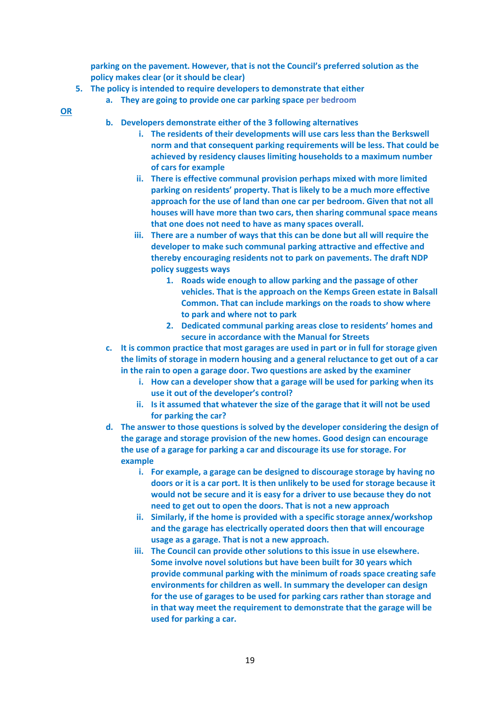**parking on the pavement. However, that is not the Council's preferred solution as the policy makes clear (or it should be clear)**

- **5. The policy is intended to require developers to demonstrate that either**
	- **a. They are going to provide one car parking space per bedroom**
- **OR**
- **b. Developers demonstrate either of the 3 following alternatives**
	- **i. The residents of their developments will use cars less than the Berkswell norm and that consequent parking requirements will be less. That could be achieved by residency clauses limiting households to a maximum number of cars for example**
	- **ii. There is effective communal provision perhaps mixed with more limited parking on residents' property. That is likely to be a much more effective approach for the use of land than one car per bedroom. Given that not all houses will have more than two cars, then sharing communal space means that one does not need to have as many spaces overall.**
	- **iii. There are a number of ways that this can be done but all will require the developer to make such communal parking attractive and effective and thereby encouraging residents not to park on pavements. The draft NDP policy suggests ways**
		- **1. Roads wide enough to allow parking and the passage of other vehicles. That is the approach on the Kemps Green estate in Balsall Common. That can include markings on the roads to show where to park and where not to park**
		- **2. Dedicated communal parking areas close to residents' homes and secure in accordance with the Manual for Streets**
- **c. It is common practice that most garages are used in part or in full for storage given the limits of storage in modern housing and a general reluctance to get out of a car in the rain to open a garage door. Two questions are asked by the examiner**
	- **i. How can a developer show that a garage will be used for parking when its use it out of the developer's control?**
	- **ii. Is it assumed that whatever the size of the garage that it will not be used for parking the car?**
- **d. The answer to those questions is solved by the developer considering the design of the garage and storage provision of the new homes. Good design can encourage the use of a garage for parking a car and discourage its use for storage. For example**
	- **i. For example, a garage can be designed to discourage storage by having no doors or it is a car port. It is then unlikely to be used for storage because it would not be secure and it is easy for a driver to use because they do not need to get out to open the doors. That is not a new approach**
	- **ii. Similarly, if the home is provided with a specific storage annex/workshop and the garage has electrically operated doors then that will encourage usage as a garage. That is not a new approach.**
	- **iii. The Council can provide other solutions to this issue in use elsewhere. Some involve novel solutions but have been built for 30 years which provide communal parking with the minimum of roads space creating safe environments for children as well. In summary the developer can design for the use of garages to be used for parking cars rather than storage and in that way meet the requirement to demonstrate that the garage will be used for parking a car.**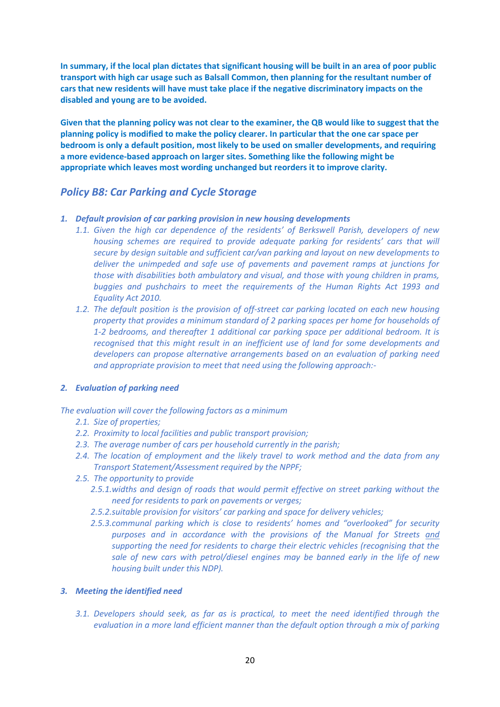**In summary, if the local plan dictates that significant housing will be built in an area of poor public transport with high car usage such as Balsall Common, then planning for the resultant number of cars that new residents will have must take place if the negative discriminatory impacts on the disabled and young are to be avoided.** 

**Given that the planning policy was not clear to the examiner, the QB would like to suggest that the planning policy is modified to make the policy clearer. In particular that the one car space per bedroom is only a default position, most likely to be used on smaller developments, and requiring a more evidence-based approach on larger sites. Something like the following might be appropriate which leaves most wording unchanged but reorders it to improve clarity.**

## *Policy B8: Car Parking and Cycle Storage*

- *1. Default provision of car parking provision in new housing developments*
	- *1.1. Given the high car dependence of the residents' of Berkswell Parish, developers of new housing schemes are required to provide adequate parking for residents' cars that will secure by design suitable and sufficient car/van parking and layout on new developments to deliver the unimpeded and safe use of pavements and pavement ramps at junctions for those with disabilities both ambulatory and visual, and those with young children in prams, buggies and pushchairs to meet the requirements of the Human Rights Act 1993 and Equality Act 2010.*
	- *1.2. The default position is the provision of off-street car parking located on each new housing property that provides a minimum standard of 2 parking spaces per home for households of 1-2 bedrooms, and thereafter 1 additional car parking space per additional bedroom. It is recognised that this might result in an inefficient use of land for some developments and developers can propose alternative arrangements based on an evaluation of parking need and appropriate provision to meet that need using the following approach:-*

### *2. Evaluation of parking need*

*The evaluation will cover the following factors as a minimum*

- *2.1. Size of properties;*
- *2.2. Proximity to local facilities and public transport provision;*
- *2.3. The average number of cars per household currently in the parish;*
- *2.4. The location of employment and the likely travel to work method and the data from any Transport Statement/Assessment required by the NPPF;*
- *2.5. The opportunity to provide* 
	- *2.5.1.widths and design of roads that would permit effective on street parking without the need for residents to park on pavements or verges;*
	- *2.5.2.suitable provision for visitors' car parking and space for delivery vehicles;*
	- *2.5.3.communal parking which is close to residents' homes and "overlooked" for security purposes and in accordance with the provisions of the Manual for Streets and supporting the need for residents to charge their electric vehicles (recognising that the sale of new cars with petrol/diesel engines may be banned early in the life of new housing built under this NDP).*

### *3. Meeting the identified need*

*3.1. Developers should seek, as far as is practical, to meet the need identified through the evaluation in a more land efficient manner than the default option through a mix of parking*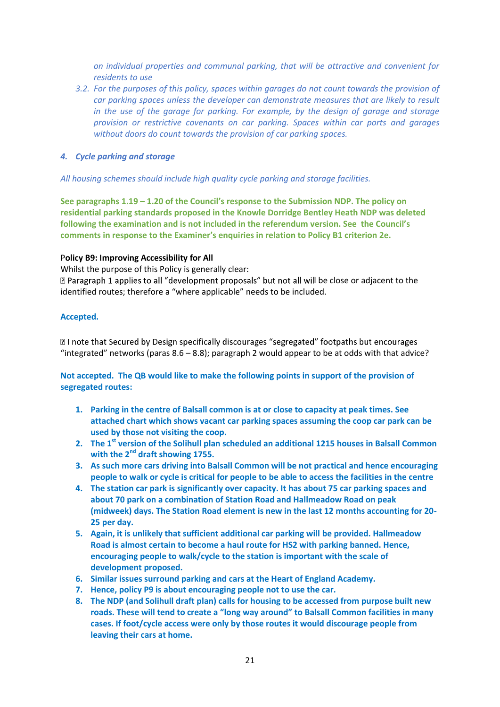*on individual properties and communal parking, that will be attractive and convenient for residents to use*

*3.2. For the purposes of this policy, spaces within garages do not count towards the provision of car parking spaces unless the developer can demonstrate measures that are likely to result in the use of the garage for parking. For example, by the design of garage and storage provision or restrictive covenants on car parking. Spaces within car ports and garages without doors do count towards the provision of car parking spaces.*

## *4. Cycle parking and storage*

*All housing schemes should include high quality cycle parking and storage facilities.*

**See paragraphs 1.19 – 1.20 of the Council's response to the Submission NDP. The policy on residential parking standards proposed in the Knowle Dorridge Bentley Heath NDP was deleted following the examination and is not included in the referendum version. See the Council's comments in response to the Examiner's enquiries in relation to Policy B1 criterion 2e.** 

## P**olicy B9: Improving Accessibility for All**

Whilst the purpose of this Policy is generally clear:

 $\mathbb B$  Paragraph 1 applies to all "development proposals" but not all will be close or adjacent to the identified routes; therefore a "where applicable" needs to be included.

## **Accepted.**

**Z** I note that Secured by Design specifically discourages "segregated" footpaths but encourages "integrated" networks (paras 8.6 – 8.8); paragraph 2 would appear to be at odds with that advice?

**Not accepted. The QB would like to make the following points in support of the provision of segregated routes:**

- **1. Parking in the centre of Balsall common is at or close to capacity at peak times. See attached chart which shows vacant car parking spaces assuming the coop car park can be used by those not visiting the coop.**
- **2. The 1st version of the Solihull plan scheduled an additional 1215 houses in Balsall Common with the 2nd draft showing 1755.**
- **3. As such more cars driving into Balsall Common will be not practical and hence encouraging people to walk or cycle is critical for people to be able to access the facilities in the centre**
- **4. The station car park is significantly over capacity. It has about 75 car parking spaces and about 70 park on a combination of Station Road and Hallmeadow Road on peak (midweek) days. The Station Road element is new in the last 12 months accounting for 20- 25 per day.**
- **5. Again, it is unlikely that sufficient additional car parking will be provided. Hallmeadow Road is almost certain to become a haul route for HS2 with parking banned. Hence, encouraging people to walk/cycle to the station is important with the scale of development proposed.**
- **6. Similar issues surround parking and cars at the Heart of England Academy.**
- **7. Hence, policy P9 is about encouraging people not to use the car.**
- **8. The NDP (and Solihull draft plan) calls for housing to be accessed from purpose built new roads. These will tend to create a "long way around" to Balsall Common facilities in many cases. If foot/cycle access were only by those routes it would discourage people from leaving their cars at home.**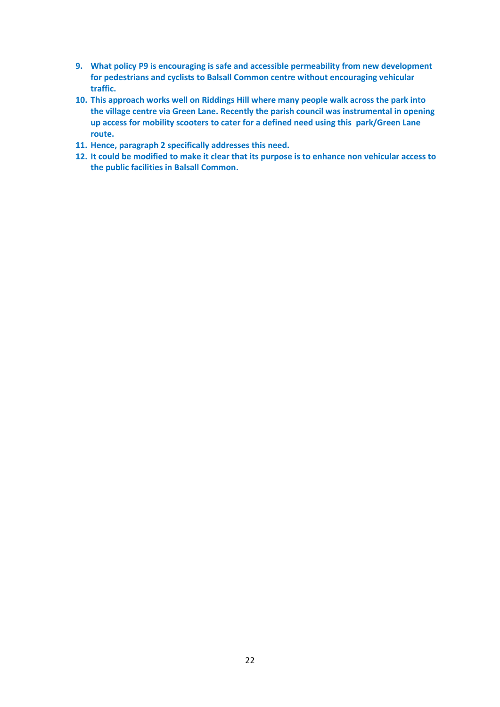- **9. What policy P9 is encouraging is safe and accessible permeability from new development for pedestrians and cyclists to Balsall Common centre without encouraging vehicular traffic.**
- **10. This approach works well on Riddings Hill where many people walk across the park into the village centre via Green Lane. Recently the parish council was instrumental in opening up access for mobility scooters to cater for a defined need using this park/Green Lane route.**
- **11. Hence, paragraph 2 specifically addresses this need.**
- **12. It could be modified to make it clear that its purpose is to enhance non vehicular access to the public facilities in Balsall Common.**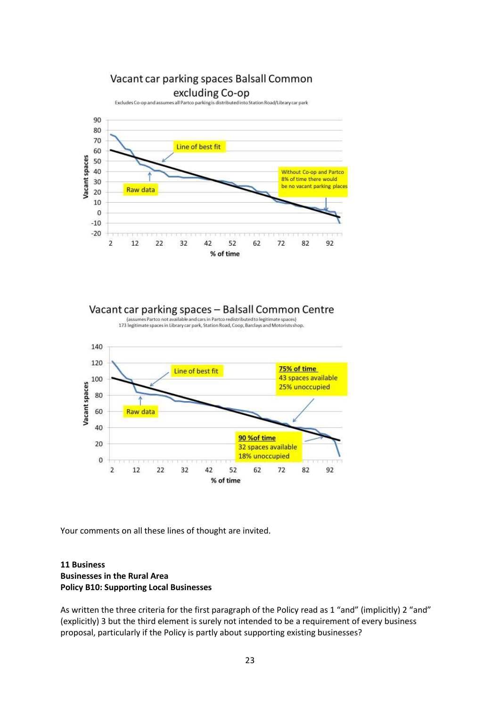

Vacant car parking spaces - Balsall Common Centre

Contras partico not available and cars in Partico redistributed to legitimate spaces)<br>173 legitimate spaces in Library car park, Station Road, Coop, Barclays and Motoristsshop.



Your comments on all these lines of thought are invited.

## **11 Business Businesses in the Rural Area Policy B10: Supporting Local Businesses**

As written the three criteria for the first paragraph of the Policy read as 1 "and" (implicitly) 2 "and" (explicitly) 3 but the third element is surely not intended to be a requirement of every business proposal, particularly if the Policy is partly about supporting existing businesses?